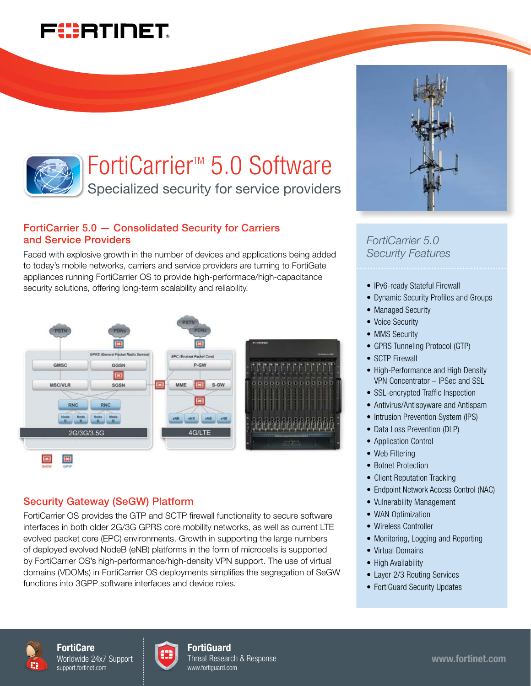# FURTINET



# FortiCarrier<sup>™</sup> 5.0 Software

Specialized security for service providers

## FortiCarrier 5.0 — Consolidated Security for Carriers and Service Providers

Faced with explosive growth in the number of devices and applications being added to today's mobile networks, carriers and service providers are turning to FortiGate appliances running FortiCarrier OS to provide high-performace/high-capacitance security solutions, offering long-term scalability and reliability.



## Security Gateway (SeGW) Platform

FortiCarrier OS provides the GTP and SCTP firewall functionality to secure software interfaces in both older 2G/3G GPRS core mobility networks, as well as current LTE evolved packet core (EPC) environments. Growth in supporting the large numbers of deployed evolved NodeB (eNB) platforms in the form of microcells is supported by FortiCarrier OS's high-performance/high-density VPN support. The use of virtual domains (VDOMs) in FortiCarrier OS deployments simplifies the segregation of SeGW functions into 3GPP software interfaces and device roles.



*FortiCarrier 5.0 Security Features*

- IPv6-ready Stateful Firewall
- Dynamic Security Profiles and Groups
- Managed Security
- Voice Security
- MMS Security
- GPRS Tunneling Protocol (GTP)
- SCTP Firewall
- High-Performance and High Density VPN Concentrator – IPSec and SSL
- SSL-encrypted Traffic Inspection
- Antivirus/Antispyware and Antispam
- Intrusion Prevention System (IPS)
- Data Loss Prevention (DLP)
- Application Control
- Web Filtering
- Botnet Protection
- Client Reputation Tracking
- Endpoint Network Access Control (NAC)
- Vulnerability Management
- WAN Optimization
- Wireless Controller
- Monitoring, Logging and Reporting
- Virtual Domains
- High Availability
- Layer 2/3 Routing Services
- FortiGuard Security Updates





#### **FortiGuard** Threat Research & Response www.fortiguard.com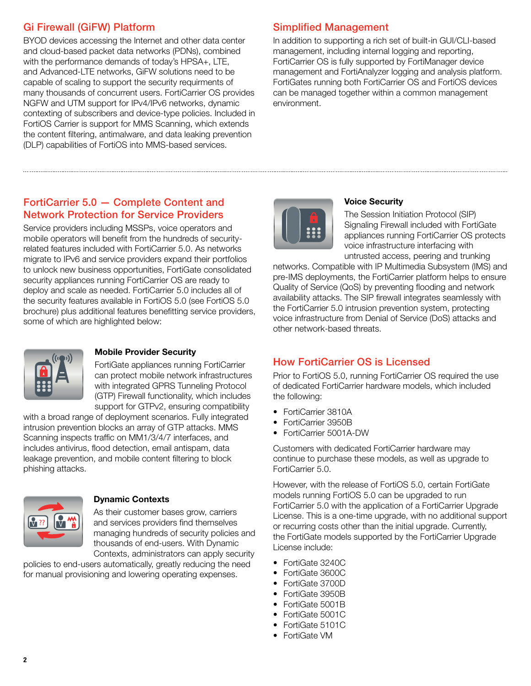## Gi Firewall (GiFW) Platform

BYOD devices accessing the Internet and other data center and cloud-based packet data networks (PDNs), combined with the performance demands of today's HPSA+, LTE, and Advanced-LTE networks, GiFW solutions need to be capable of scaling to support the security requirments of many thousands of concurrent users. FortiCarrier OS provides NGFW and UTM support for IPv4/IPv6 networks, dynamic contexting of subscribers and device-type policies. Included in FortiOS Carrier is support for MMS Scanning, which extends the content filtering, antimalware, and data leaking prevention (DLP) capabilities of FortiOS into MMS-based services.

## Simplified Management

In addition to supporting a rich set of built-in GUI/CLI-based management, including internal logging and reporting, FortiCarrier OS is fully supported by FortiManager device management and FortiAnalyzer logging and analysis platform. FortiGates running both FortiCarrier OS and FortiOS devices can be managed together within a common management environment.

## FortiCarrier 5.0 — Complete Content and Network Protection for Service Providers

Service providers including MSSPs, voice operators and mobile operators will benefit from the hundreds of securityrelated features included with FortiCarrier 5.0. As networks migrate to IPv6 and service providers expand their portfolios to unlock new business opportunities, FortiGate consolidated security appliances running FortiCarrier OS are ready to deploy and scale as needed. FortiCarrier 5.0 includes all of the security features available in FortiOS 5.0 (see FortiOS 5.0 brochure) plus additional features benefitting service providers, some of which are highlighted below:



## Mobile Provider Security

FortiGate appliances running FortiCarrier can protect mobile network infrastructures with integrated GPRS Tunneling Protocol (GTP) Firewall functionality, which includes support for GTPv2, ensuring compatibility

with a broad range of deployment scenarios. Fully integrated intrusion prevention blocks an array of GTP attacks. MMS Scanning inspects traffic on MM1/3/4/7 interfaces, and includes antivirus, flood detection, email antispam, data leakage prevention, and mobile content filtering to block phishing attacks.



## Dynamic Contexts

As their customer bases grow, carriers and services providers find themselves managing hundreds of security policies and thousands of end-users. With Dynamic Contexts, administrators can apply security

policies to end-users automatically, greatly reducing the need for manual provisioning and lowering operating expenses.



## Voice Security

The Session Initiation Protocol (SIP) Signaling Firewall included with FortiGate appliances running FortiCarrier OS protects voice infrastructure interfacing with untrusted access, peering and trunking

networks. Compatible with IP Multimedia Subsystem (IMS) and pre-IMS deployments, the FortiCarrier platform helps to ensure Quality of Service (QoS) by preventing flooding and network availability attacks. The SIP firewall integrates seamlessly with the FortiCarrier 5.0 intrusion prevention system, protecting voice infrastructure from Denial of Service (DoS) attacks and other network-based threats.

## How FortiCarrier OS is Licensed

Prior to FortiOS 5.0, running FortiCarrier OS required the use of dedicated FortiCarrier hardware models, which included the following:

- • FortiCarrier 3810A
- • FortiCarrier 3950B
- FortiCarrier 5001A-DW

Customers with dedicated FortiCarrier hardware may continue to purchase these models, as well as upgrade to FortiCarrier 5.0.

However, with the release of FortiOS 5.0, certain FortiGate models running FortiOS 5.0 can be upgraded to run FortiCarrier 5.0 with the application of a FortiCarrier Upgrade License. This is a one-time upgrade, with no additional support or recurring costs other than the initial upgrade. Currently, the FortiGate models supported by the FortiCarrier Upgrade License include:

- FortiGate 3240C
- • FortiGate 3600C
- • FortiGate 3700D
- FortiGate 3950B
- FortiGate 5001B
- FortiGate 5001C
- FortiGate 5101C
- • FortiGate VM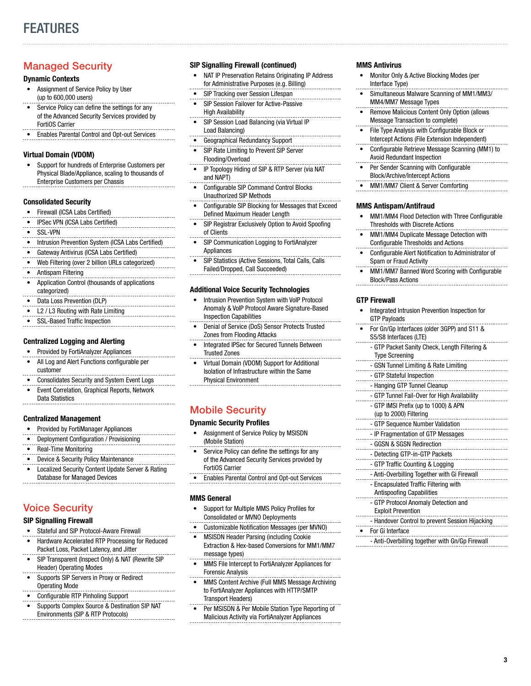## Managed Security

#### Dynamic Contexts

- Assignment of Service Policy by User (up to 600,000 users)
- Service Policy can define the settings for any of the Advanced Security Services provided by FortiOS Carrier
- **Enables Parental Control and Opt-out Services**

#### Virtual Domain (VDOM)

Support for hundreds of Enterprise Customers per Physical Blade/Appliance, scaling to thousands of Enterprise Customers per Chassis

#### Consolidated Security

- • Firewall (ICSA Labs Certified)
- **IPSec VPN (ICSA Labs Certified)**
- SSL-VPN
- Intrusion Prevention System (ICSA Labs Certified)
- Gateway Antivirus (ICSA Labs Certified)
- Web Filtering (over 2 billion URLs categorized)
- Antispam Filtering
- **Application Control (thousands of applications** categorized)
- Data Loss Prevention (DLP)
- L2 / L3 Routing with Rate Limiting
- SSL-Based Traffic Inspection
- 

#### Centralized Logging and Alerting

- Provided by FortiAnalyzer Appliances
- All Log and Alert Functions configurable per customer
- Consolidates Security and System Event Logs
- Event Correlation, Graphical Reports, Network Data Statistics

#### Centralized Management

- • Provided by FortiManager Appliances
- • Deployment Configuration / Provisioning
- **Real-Time Monitoring**
- Device & Security Policy Maintenance
- • Localized Security Content Update Server & Rating Database for Managed Devices

## Voice Security

#### SIP Signalling Firewall

- Stateful and SIP Protocol-Aware Firewall
- • Hardware Accelerated RTP Processing for Reduced Packet Loss, Packet Latency, and Jitter
- SIP Transparent (Inspect Only) & NAT (Rewrite SIP Header) Operating Modes
- Supports SIP Servers in Proxy or Redirect Operating Mode
- Configurable RTP Pinholing Support
- Supports Complex Source & Destination SIP NAT Environments (SIP & RTP Protocols)

#### SIP Signalling Firewall (continued)

- NAT IP Preservation Retains Originating IP Address for Administrative Purposes (e.g. Billing)
- SIP Tracking over Session Lifespan
- **SIP Session Failover for Active-Passive** High Availability
- SIP Session Load Balancing (via Virtual IP Load Balancing)
- Geographical Redundancy Support
- SIP Rate Limiting to Prevent SIP Server Flooding/Overload
- IP Topology Hiding of SIP & RTP Server (via NAT and NAPT)
- Configurable SIP Command Control Blocks Unauthorized SIP Methods
- Configurable SIP Blocking for Messages that Exceed Defined Maximum Header Length
- SIP Registrar Exclusively Option to Avoid Spoofing
- of Clients SIP Communication Logging to FortiAnalyzer
- Appliances
- SIP Statistics (Active Sessions, Total Calls, Calls Failed/Dropped, Call Succeeded)

#### Additional Voice Security Technologies

- Intrusion Prevention System with VoIP Protocol Anomaly & VoIP Protocol Aware Signature-Based Inspection Capabilities
- **Denial of Service (DoS) Sensor Protects Trusted** Zones from Flooding Attacks
- Integrated IPSec for Secured Tunnels Between Trusted Zones
- Virtual Domain (VDOM) Support for Additional Isolation of Infrastructure within the Same Physical Environment

## Mobile Security

#### Dynamic Security Profiles

- Assignment of Service Policy by MSISDN (Mobile Station)
- Service Policy can define the settings for any of the Advanced Security Services provided by FortiOS Carrier
- **Enables Parental Control and Opt-out Services**

#### MMS General

- Support for Multiple MMS Policy Profiles for Consolidated or MVNO Deployments
- Customizable Notification Messages (per MVNO)
- **MSISDN Header Parsing (including Cookie**
- Extraction & Hex-based Conversions for MM1/MM7 message types)
- MMS File Intercept to FortiAnalyzer Appliances for Forensic Analysis
- MMS Content Archive (Full MMS Message Archiving to FortiAnalyzer Appliances with HTTP/SMTP Transport Headers)
- **Per MSISDN & Per Mobile Station Type Reporting of** Malicious Activity via FortiAnalyzer Appliances

#### MMS Antivirus

- Monitor Only & Active Blocking Modes (per Interface Type)
- Simultaneous Malware Scanning of MM1/MM3/ MM4/MM7 Message Types
- Remove Malicious Content Only Option (allows Message Transaction to complete)
- File Type Analysis with Configurable Block or Intercept Actions (File Extension Independent)
- Configurable Retrieve Message Scanning (MM1) to Avoid Redundant Inspection
- **Per Sender Scanning with Configurable** Block/Archive/Intercept Actions
- MM1/MM7 Client & Server Comforting

#### MMS Antispam/Antifraud

- MM1/MM4 Flood Detection with Three Configurable Thresholds with Discrete Actions
- MM1/MM4 Duplicate Message Detection with Configurable Thresholds and Actions
- • Configurable Alert Notification to Administrator of Spam or Fraud Activity
- MM1/MM7 Banned Word Scoring with Configurable Block/Pass Actions

#### GTP Firewall

- Integrated Intrusion Prevention Inspection for GTP Payloads
- For Gn/Gp Interfaces (older 3GPP) and S11 & S5/S8 Interfaces (LTE)
- GTP Packet Sanity Check, Length Filtering & Type Screening
- GSN Tunnel Limiting & Rate Limiting
- GTP Stateful Inspection
- Hanging GTP Tunnel Cleanup
	- GTP Tunnel Fail-Over for High Availability
- GTP IMSI Prefix (up to 1000) & APN
- (up to 2000) Filtering
- GTP Sequence Number Validation
- IP Fragmentation of GTP Messages
- GGSN & SGSN Redirection
- Detecting GTP-in-GTP Packets

- Anti-Overbilling Together with Gi Firewall - Encapsulated Traffic Filtering with Antispoofing Capabilities - GTP Protocol Anomaly Detection and

- Handover Control to prevent Session Hijacking

- Anti-Overbilling together with Gn/Gp Firewall

3

- GTP Traffic Counting & Logging

Exploit Prevention

**For Gi Interface** 

. . . . . . . . .